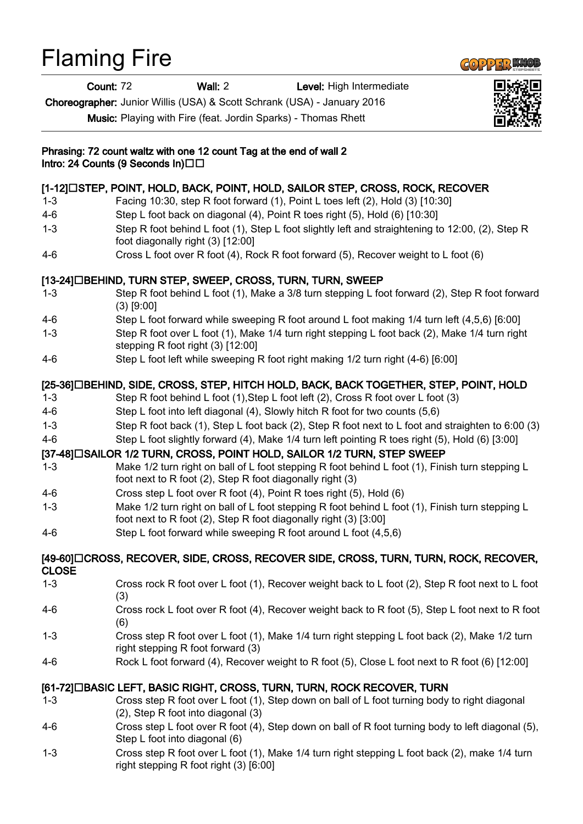## Flaming Fire

Count: 72 Wall: 2 Level: High Intermediate

Choreographer: Junior Willis (USA) & Scott Schrank (USA) - January 2016

Music: Playing with Fire (feat. Jordin Sparks) - Thomas Rhett



1-3 Cross step R foot over L foot (1), Make 1/4 turn right stepping L foot back (2), make 1/4 turn right stepping R foot right (3) [6:00]